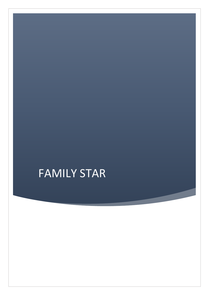# FAMILY STAR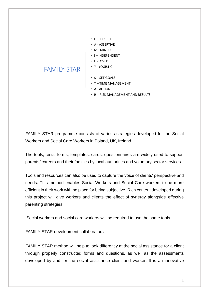- F FLEXIBLE
- A ASSERTIVE
- M MINDFUL
- I INDEPENDENT
- $\cdot$  L-LOVED
- Y YOGISTIC
- S SET GOALS
	- T TIME MANAGEMENT
	- A ACTION
	- R RISK MANAGEMENT AND RESULTS

FAMILY STAR programme consists of various strategies developed for the Social Workers and Social Care Workers in Poland, UK, Ireland.

The tools, tests, forms, templates, cards, questionnaires are widely used to support parents/ careers and their families by local authorities and voluntary sector services.

Tools and resources can also be used to capture the voice of clients' perspective and needs. This method enables Social Workers and Social Care workers to be more efficient in their work with no place for being subjective. Rich content developed during this project will give workers and clients the effect of synergy alongside effective parenting strategies.

Social workers and social care workers will be required to use the same tools.

FAMILY STAR development collaborators

FAMILY STAR

FAMILY STAR method will help to look differently at the social assistance for a client through properly constructed forms and questions, as well as the assessments developed by and for the social assistance client and worker. It is an innovative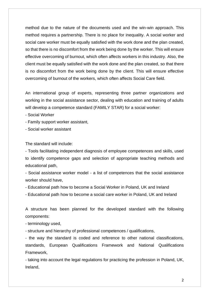method due to the nature of the documents used and the win-win approach. This method requires a partnership. There is no place for inequality. A social worker and social care worker must be equally satisfied with the work done and the plan created, so that there is no discomfort from the work being done by the worker. This will ensure effective overcoming of burnout, which often affects workers in this industry. Also, the client must be equally satisfied with the work done and the plan created, so that there is no discomfort from the work being done by the client. This will ensure effective overcoming of burnout of the workers, which often affects Social Care field.

An international group of experts, representing three partner organizations and working in the social assistance sector, dealing with education and training of adults will develop a competence standard (FAMILY STAR) for a social worker:

- Social Worker

- Family support worker assistant,

- Social worker assistant

The standard will include:

- Tools facilitating independent diagnosis of employee competences and skills, used to identify competence gaps and selection of appropriate teaching methods and educational path,

- Social assistance worker model - a list of competences that the social assistance worker should have,

- Educational path how to become a Social Worker in Poland, UK and Ireland

- Educational path how to become a social care worker in Poland, UK and Ireland

A structure has been planned for the developed standard with the following components:

- terminology used,

- structure and hierarchy of professional competences / qualifications,

- the way the standard is coded and reference to other national classifications, standards, European Qualifications Framework and National Qualifications Framework,

- taking into account the legal regulations for practicing the profession in Poland, UK, Ireland,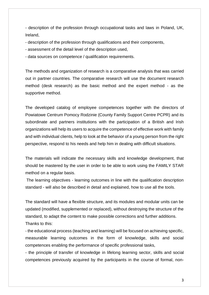- description of the profession through occupational tasks and laws in Poland, UK, Ireland,

- description of the profession through qualifications and their components,
- assessment of the detail level of the description used,
- data sources on competence / qualification requirements.

The methods and organization of research is a comparative analysis that was carried out in partner countries. The comparative research will use the document research method (desk research) as the basic method and the expert method - as the supportive method.

The developed catalog of employee competences together with the directors of Powiatowe Centrum Pomocy Rodzinie (County Family Support Centre PCPR) and its subordinate and partners institutions with the participation of a British and Irish organizations will help its users to acquire the competence of effective work with family and with individual clients, help to look at the behavior of a young person from the right perspective, respond to his needs and help him in dealing with difficult situations.

The materials will indicate the necessary skills and knowledge development, that should be mastered by the user in order to be able to work using the FAMILY STAR method on a regular basis.

The learning objectives - learning outcomes in line with the qualification description standard - will also be described in detail and explained, how to use all the tools.

The standard will have a flexible structure, and its modules and modular units can be updated (modified, supplemented or replaced), without destroying the structure of the standard, to adapt the content to make possible corrections and further additions. Thanks to this:

- the educational process (teaching and learning) will be focused on achieving specific, measurable learning outcomes in the form of knowledge, skills and social competences enabling the performance of specific professional tasks,

- the principle of transfer of knowledge in lifelong learning sector, skills and social competences previously acquired by the participants in the course of formal, non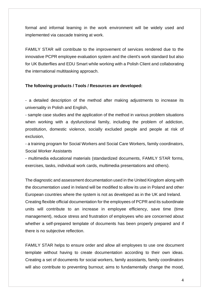formal and informal learning in the work environment will be widely used and implemented via cascade training at work.

FAMILY STAR will contribute to the improvement of services rendered due to the innovative PCPR employee evaluation system and the client's work standard but also for UK Butterflies and EDU Smart while working with a Polish Client and collaborating the international multitasking approach.

#### **The following products / Tools / Resources are developed:**

- a detailed description of the method after making adjustments to increase its universality in Polish and English,

- sample case studies and the application of the method in various problem situations when working with a dysfunctional family, including the problem of addiction, prostitution, domestic violence, socially excluded people and people at risk of exclusion,

- a training program for Social Workers and Social Care Workers, family coordinators, Social Worker Assistants

- multimedia educational materials (standardized documents, FAMILY STAR forms, exercises, tasks, individual work cards, multimedia presentations and others).

The diagnostic and assessment documentation used in the United Kingdom along with the documentation used in Ireland will be modified to allow its use in Poland and other European countries where the system is not as developed as in the UK and Ireland. Creating flexible official documentation for the employees of PCPR and its subordinate units will contribute to an increase in employee efficiency, save time (time management), reduce stress and frustration of employees who are concerned about whether a self-prepared template of documents has been properly prepared and if there is no subjective reflection.

FAMILY STAR helps to ensure order and allow all employees to use one document template without having to create documentation according to their own ideas. Creating a set of documents for social workers, family assistants, family coordinators will also contribute to preventing burnout; aims to fundamentally change the mood,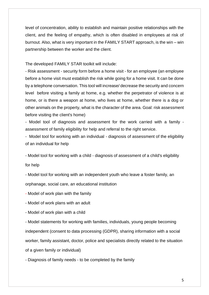level of concentration, ability to establish and maintain positive relationships with the client, and the feeling of empathy, which is often disabled in employees at risk of burnout. Also, what is very important in the FAMILY START approach, is the win – win partnership between the worker and the client.

The developed FAMILY STAR toolkit will include:

- Risk assessment - security form before a home visit - for an employee (an employee before a home visit must establish the risk while going for a home visit. It can be done by a telephone conversation. This tool will increase/ decrease the security and concern level before visiting a family at home, e.g. whether the perpetrator of violence is at home, or is there a weapon at home, who lives at home, whether there is a dog or other animals on the property, what is the character of the area. Goal: risk assessment before visiting the client's home)

- Model tool of diagnosis and assessment for the work carried with a family assessment of family eligibility for help and referral to the right service.

- Model tool for working with an individual - diagnosis of assessment of the eligibility of an individual for help

- Model tool for working with a child - diagnosis of assessment of a child's eligibility for help

- Model tool for working with an independent youth who leave a foster family, an orphanage, social care, an educational institution

- Model of work plan with the family

- Model of work plans with an adult

- Model of work plan with a child

- Model statements for working with families, individuals, young people becoming independent (consent to data processing (GDPR), sharing information with a social worker, family assistant, doctor, police and specialists directly related to the situation of a given family or individual)

- Diagnosis of family needs - to be completed by the family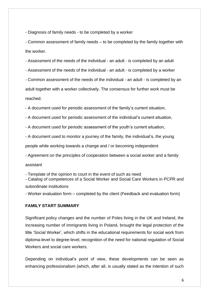- Diagnosis of family needs - to be completed by a worker

- Common assessment of family needs – to be completed by the family together with the worker.

- Assessment of the needs of the individual - an adult - is completed by an adult

- Assessment of the needs of the individual - an adult - is completed by a worker

- Common assessment of the needs of the individual - an adult - is completed by an adult together with a worker collectively. The consensus for further work must be reached.

- A document used for periodic assessment of the family's current situation,

- A document used for periodic assessment of the individual's current situation,

- A document used for periodic assessment of the youth's current situation,

- A document used to monitor a journey of the family, the individual's, the young

people while working towards a change and / or becoming independent

- Agreement on the principles of cooperation between a social worker and a family

assistant

- Template of the opinion to court in the event of such as need

- Catalog of competences of a Social Worker and Social Care Workers in PCPR and subordinate institutions

- Worker evaluation form – completed by the client (Feedback and evaluation form)

#### **FAMILY START SUMMARY**

Significant policy changes and the number of Poles living in the UK and Ireland, the increasing number of immigrants living in Poland, brought the legal protection of the title 'Social Worker', which shifts in the educational requirements for social work from diploma-level to degree-level, recognition of the need for national regulation of Social Workers and social care workers.

Depending on individual's point of view, these developments can be seen as enhancing professionalism (which, after all, is usually stated as the intention of such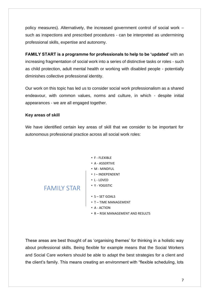policy measures). Alternatively, the increased government control of social work – such as inspections and prescribed procedures - can be interpreted as undermining professional skills, expertise and autonomy.

**FAMILY START is a programme for professionals to help to be 'updated'** with an increasing fragmentation of social work into a series of distinctive tasks or roles - such as child protection, adult mental health or working with disabled people - potentially diminishes collective professional identity.

Our work on this topic has led us to consider social work professionalism as a shared endeavour, with common values, norms and culture, in which - despite initial appearances - we are all engaged together.

## **Key areas of skill**

We have identified certain key areas of skill that we consider to be important for autonomous professional practice across all social work roles:

#### • F - FLEXIBLE

- A ASSERTIVE
- M MINDFUL
- I INDEPENDENT
- L LOVED
- Y YOGISTIC
- FAMILY STAR
	- S SET GOALS
	- T TIME MANAGEMENT
	- A ACTION
	- R RISK MANAGEMENT AND RESULTS

These areas are best thought of as 'organising themes' for thinking in a holistic way about professional skills. Being flexible for example means that the Social Workers and Social Care workers should be able to adapt the best strategies for a client and the client's family. This means creating an environment with "flexible scheduling, lots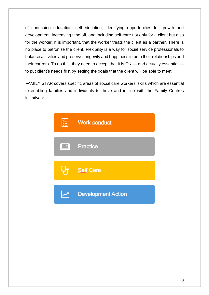of continuing education, self-education, identifying opportunities for growth and development, increasing time off, and including self-care not only for a client but also for the worker. It is important, that the worker treats the client as a partner. There is no place to patronise the client. Flexibility is a way for social service professionals to balance activities and preserve longevity and happiness in both their relationships and their careers. To do this, they need to accept that it is OK — and actually essential to put client's needs first by setting the goals that the client will be able to meet.

FAMILY STAR covers specific areas of social care workers' skills which are essential to enabling families and individuals to thrive and in line with the Family Centres initiatives:

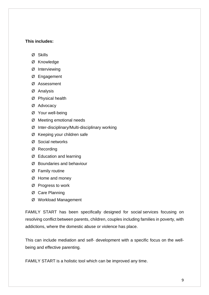### **This includes:**

- Ø Skills
- Ø Knowledge
- Ø Interviewing
- Ø Engagement
- Ø Assessment
- Ø Analysis
- Ø Physical health
- Ø Advocacy
- Ø Your well-being
- Ø Meeting emotional needs
- Ø Inter-disciplinary/Multi-disciplinary working
- Ø Keeping your children safe
- Ø Social networks
- Ø Recording
- Ø Education and learning
- Ø Boundaries and behaviour
- Ø Family routine
- Ø Home and money
- Ø Progress to work
- Ø Care Planning
- Ø Workload Management

FAMILY START has been specifically designed for social services focusing on resolving conflict between parents, children, couples including families in poverty, with addictions, where the domestic abuse or violence has place.

This can include mediation and self- development with a specific focus on the wellbeing and effective parenting.

FAMILY START is a holistic tool which can be improved any time.